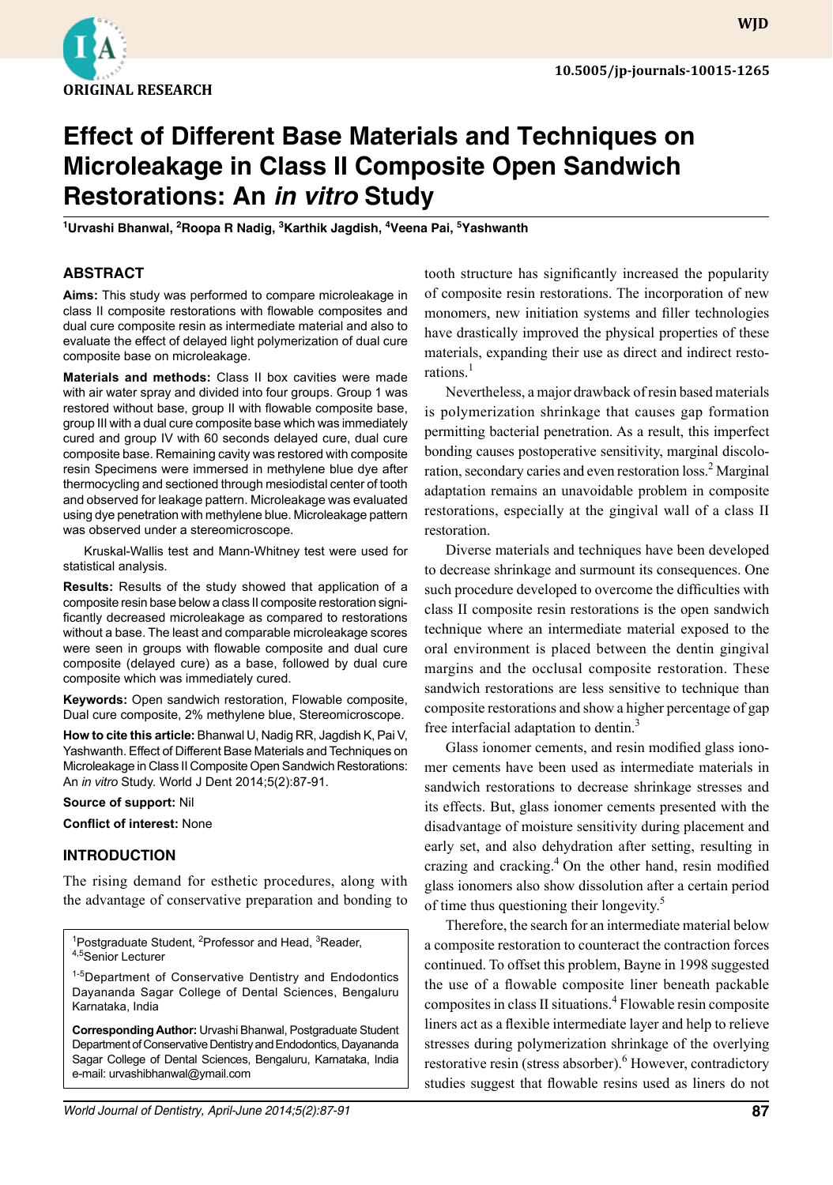

**WJD**

# **Effect of Different Base Materials and Techniques on Microleakage in Class II Composite Open Sandwich Restorations: An** *in vitro* **Study**

<sup>1</sup>Urvashi Bhanwal, <sup>2</sup>Roopa R Nadig, <sup>3</sup>Karthik Jagdish, <sup>4</sup>Veena Pai, <sup>5</sup>Yashwanth

## **ABSTRACT**

**Aims:** This study was performed to compare microleakage in class II composite restorations with flowable composites and dual cure composite resin as intermediate material and also to evaluate the effect of delayed light polymerization of dual cure composite base on microleakage.

**Materials and methods:** Class II box cavities were made with air water spray and divided into four groups. Group 1 was restored without base, group II with flowable composite base, group III with a dual cure composite base which was immediately cured and group IV with 60 seconds delayed cure, dual cure composite base. Remaining cavity was restored with composite resin Specimens were immersed in methylene blue dye after thermocycling and sectioned through mesiodistal center of tooth and observed for leakage pattern. Microleakage was evaluated using dye penetration with methylene blue. Microleakage pattern was observed under a stereomicroscope.

Kruskal-Wallis test and Mann-Whitney test were used for statistical analysis.

**Results:** Results of the study showed that application of a composite resin base below a class II composite restoration significantly decreased microleakage as compared to restorations without a base. The least and comparable microleakage scores were seen in groups with flowable composite and dual cure composite (delayed cure) as a base, followed by dual cure composite which was immediately cured.

**Keywords:** Open sandwich restoration, Flowable composite, Dual cure composite, 2% methylene blue, Stereomicroscope.

**How to cite this article:** Bhanwal U, Nadig RR, Jagdish K, Pai V, Yashwanth. Effect of Different Base Materials and Techniques on Microleakage in Class II Composite Open Sandwich Restorations: An *in vitro* Study. World J Dent 2014;5(2):87-91.

#### **Source of support:** Nil

**Conflict of interest:** None

### **INTRODUCTION**

The rising demand for esthetic procedures, along with the advantage of conservative preparation and bonding to

<sup>1</sup>Postgraduate Student, <sup>2</sup>Professor and Head, <sup>3</sup>Reader, 4,5Senior Lecturer

1-5Department of Conservative Dentistry and Endodontics Dayananda Sagar College of Dental Sciences, Bengaluru Karnataka, India

**Corresponding Author:** Urvashi Bhanwal, Postgraduate Student Department of Conservative Dentistry and Endodontics, Dayananda Sagar College of Dental Sciences, Bengaluru, Karnataka, India e-mail: urvashibhanwal@ymail.com

tooth structure has significantly increased the popularity of composite resin restorations. The incorporation of new monomers, new initiation systems and filler technologies have drastically improved the physical properties of these materials, expanding their use as direct and indirect restorations.<sup>1</sup>

Nevertheless, a major drawback of resin based materials is polymerization shrinkage that causes gap formation permitting bacterial penetration. As a result, this imperfect bonding causes postoperative sensitivity, marginal discoloration, secondary caries and even restoration loss.<sup>2</sup> Marginal adaptation remains an unavoidable problem in composite restorations, especially at the gingival wall of a class II restoration.

Diverse materials and techniques have been developed to decrease shrinkage and surmount its consequences. One such procedure developed to overcome the difficulties with class II composite resin restorations is the open sandwich technique where an intermediate material exposed to the oral environment is placed between the dentin gingival margins and the occlusal composite restoration. These sandwich restorations are less sensitive to technique than composite restorations and show a higher percentage of gap free interfacial adaptation to dentin.<sup>3</sup>

Glass ionomer cements, and resin modified glass ionomer cements have been used as intermediate materials in sandwich restorations to decrease shrinkage stresses and its effects. But, glass ionomer cements presented with the disadvantage of moisture sensitivity during placement and early set, and also dehydration after setting, resulting in crazing and cracking. $4$  On the other hand, resin modified glass ionomers also show dissolution after a certain period of time thus questioning their longevity.<sup>5</sup>

Therefore, the search for an intermediate material below a composite restoration to counteract the contraction forces continued. To offset this problem, Bayne in 1998 suggested the use of a flowable composite liner beneath packable composites in class II situations.<sup>4</sup> Flowable resin composite liners act as a flexible intermediate layer and help to relieve stresses during polymerization shrinkage of the overlying restorative resin (stress absorber).<sup>6</sup> However, contradictory studies suggest that flowable resins used as liners do not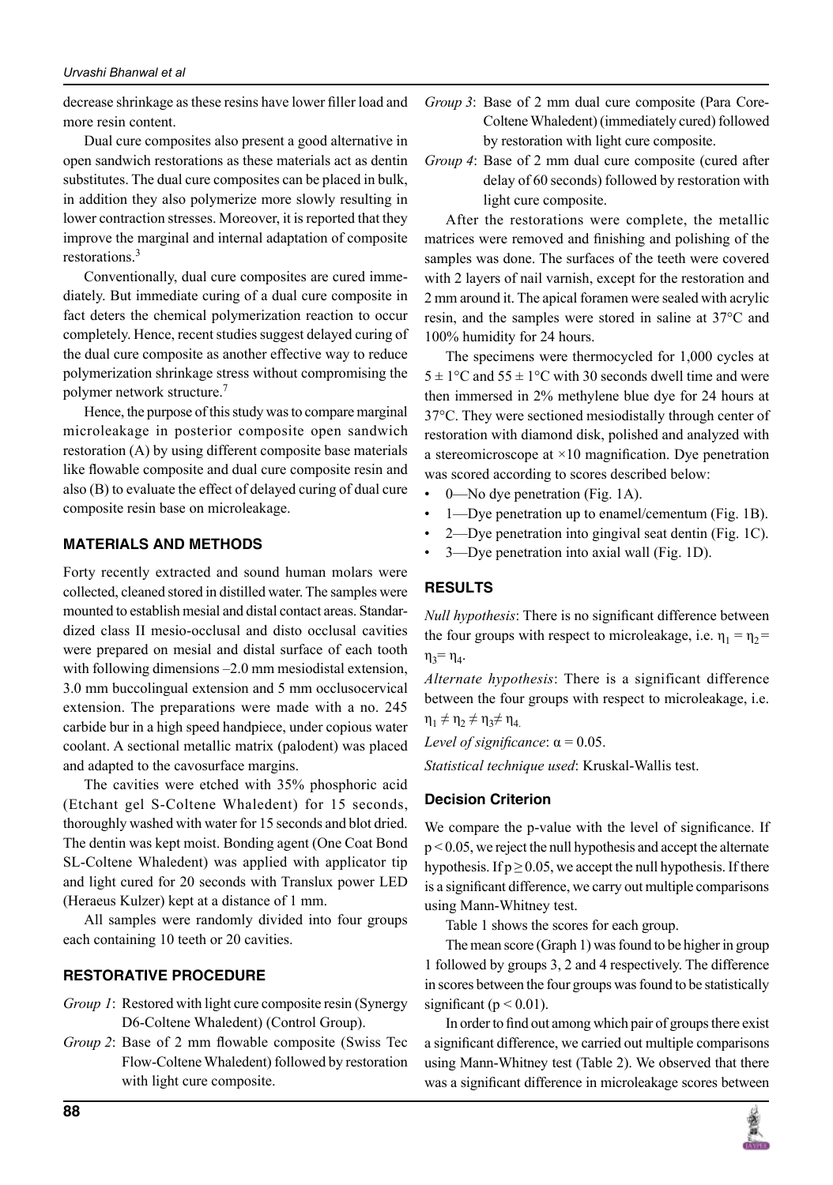decrease shrinkage as these resins have lower filler load and more resin content.

Dual cure composites also present a good alternative in open sandwich restorations as these materials act as dentin substitutes. The dual cure composites can be placed in bulk, in addition they also polymerize more slowly resulting in lower contraction stresses. Moreover, it is reported that they improve the marginal and internal adaptation of composite restorations.<sup>3</sup>

Conventionally, dual cure composites are cured immediately. But immediate curing of a dual cure composite in fact deters the chemical polymerization reaction to occur completely. Hence, recent studies suggest delayed curing of the dual cure composite as another effective way to reduce polymerization shrinkage stress without compromising the polymer network structure.<sup>7</sup>

Hence, the purpose of this study was to compare marginal microleakage in posterior composite open sandwich restoration (A) by using different composite base materials like flowable composite and dual cure composite resin and also (B) to evaluate the effect of delayed curing of dual cure composite resin base on microleakage.

# **MATERIALS AND METHODS**

Forty recently extracted and sound human molars were collected, cleaned stored in distilled water. The samples were mounted to establish mesial and distal contact areas. Standardized class II mesio-occlusal and disto occlusal cavities were prepared on mesial and distal surface of each tooth with following dimensions –2.0 mm mesiodistal extension, 3.0 mm buccolingual extension and 5 mm occlusocervical extension. The preparations were made with a no. 245 carbide bur in a high speed handpiece, under copious water coolant. A sectional metallic matrix (palodent) was placed and adapted to the cavosurface margins.

The cavities were etched with 35% phosphoric acid (Etchant gel S-Coltene Whaledent) for 15 seconds, thoroughly washed with water for 15 seconds and blot dried. The dentin was kept moist. Bonding agent (One Coat Bond SL-Coltene Whaledent) was applied with applicator tip and light cured for 20 seconds with Translux power LED (Heraeus Kulzer) kept at a distance of 1 mm.

All samples were randomly divided into four groups each containing 10 teeth or 20 cavities.

### **Restorative Procedure**

- *Group 1*: Restored with light cure composite resin (Synergy D6-Coltene Whaledent) (Control Group).
- *Group 2*: Base of 2 mm flowable composite (Swiss Tec Flow-Coltene Whaledent) followed by restoration with light cure composite.
- *Group 3*: Base of 2 mm dual cure composite (Para Core-Coltene Whaledent) (immediately cured) followed by restoration with light cure composite.
- *Group 4*: Base of 2 mm dual cure composite (cured after delay of 60 seconds) followed by restoration with light cure composite.

After the restorations were complete, the metallic matrices were removed and finishing and polishing of the samples was done. The surfaces of the teeth were covered with 2 layers of nail varnish, except for the restoration and 2 mm around it. The apical foramen were sealed with acrylic resin, and the samples were stored in saline at 37°C and 100% humidity for 24 hours.

The specimens were thermocycled for 1,000 cycles at  $5 \pm 1$ °C and  $55 \pm 1$ °C with 30 seconds dwell time and were then immersed in 2% methylene blue dye for 24 hours at 37°C. They were sectioned mesiodistally through center of restoration with diamond disk, polished and analyzed with a stereomicroscope at  $\times$ 10 magnification. Dye penetration was scored according to scores described below:

- 0—No dye penetration (Fig. 1A).
- 1—Dye penetration up to enamel/cementum (Fig. 1B).
- 2—Dye penetration into gingival seat dentin (Fig. 1C).
- 3—Dye penetration into axial wall (Fig. 1D).

# **RESULTS**

*Null hypothesis*: There is no significant difference between the four groups with respect to microleakage, i.e.  $\eta_1 = \eta_2 =$  $\eta_3 = \eta_4$ .

*Alternate hypothesis*: There is a significant difference between the four groups with respect to microleakage, i.e.  $\eta_1 \neq \eta_2 \neq \eta_3 \neq \eta_4$ 

*Level of significance*: α = 0.05.

*Statistical technique used*: Kruskal-Wallis test.

### **Decision Criterion**

We compare the p-value with the level of significance. If p < 0.05, we reject the null hypothesis and accept the alternate hypothesis. If  $p \ge 0.05$ , we accept the null hypothesis. If there is a significant difference, we carry out multiple comparisons using Mann-Whitney test.

Table 1 shows the scores for each group.

The mean score (Graph 1) was found to be higher in group 1 followed by groups 3, 2 and 4 respectively. The difference in scores between the four groups was found to be statistically significant ( $p < 0.01$ ).

In order to find out among which pair of groups there exist a significant difference, we carried out multiple comparisons using Mann-Whitney test (Table 2). We observed that there was a significant difference in microleakage scores between

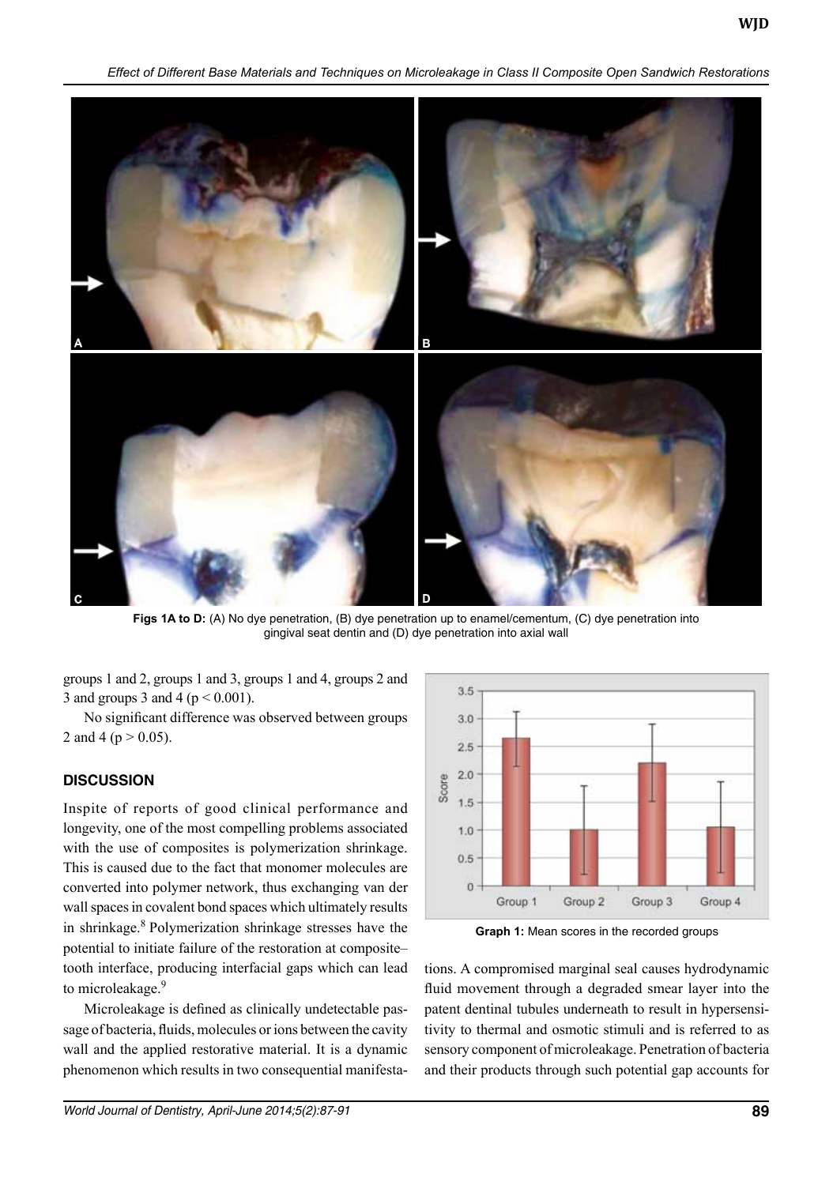*Effect of Different Base Materials and Techniques on Microleakage in Class II Composite Open Sandwich Restorations*



**Figs 1A to D:** (A) No dye penetration, (B) dye penetration up to enamel/cementum, (C) dye penetration into gingival seat dentin and (D) dye penetration into axial wall

groups 1 and 2, groups 1 and 3, groups 1 and 4, groups 2 and 3 and groups 3 and 4 ( $p < 0.001$ ).

No significant difference was observed between groups 2 and 4 ( $p > 0.05$ ).

# **DISCUSSION**

Inspite of reports of good clinical performance and longevity, one of the most compelling problems associated with the use of composites is polymerization shrinkage. This is caused due to the fact that monomer molecules are converted into polymer network, thus exchanging van der wall spaces in covalent bond spaces which ultimately results in shrinkage.<sup>8</sup> Polymerization shrinkage stresses have the potential to initiate failure of the restoration at composite– tooth interface, producing interfacial gaps which can lead to microleakage.<sup>9</sup>

Microleakage is defined as clinically undetectable passage of bacteria, fluids, molecules or ions between the cavity wall and the applied restorative material. It is a dynamic phenomenon which results in two consequential manifesta-



**Graph 1:** Mean scores in the recorded groups

tions. A compromised marginal seal causes hydrodynamic fluid movement through a degraded smear layer into the patent dentinal tubules underneath to result in hypersensitivity to thermal and osmotic stimuli and is referred to as sensory component of microleakage. Penetration of bacteria and their products through such potential gap accounts for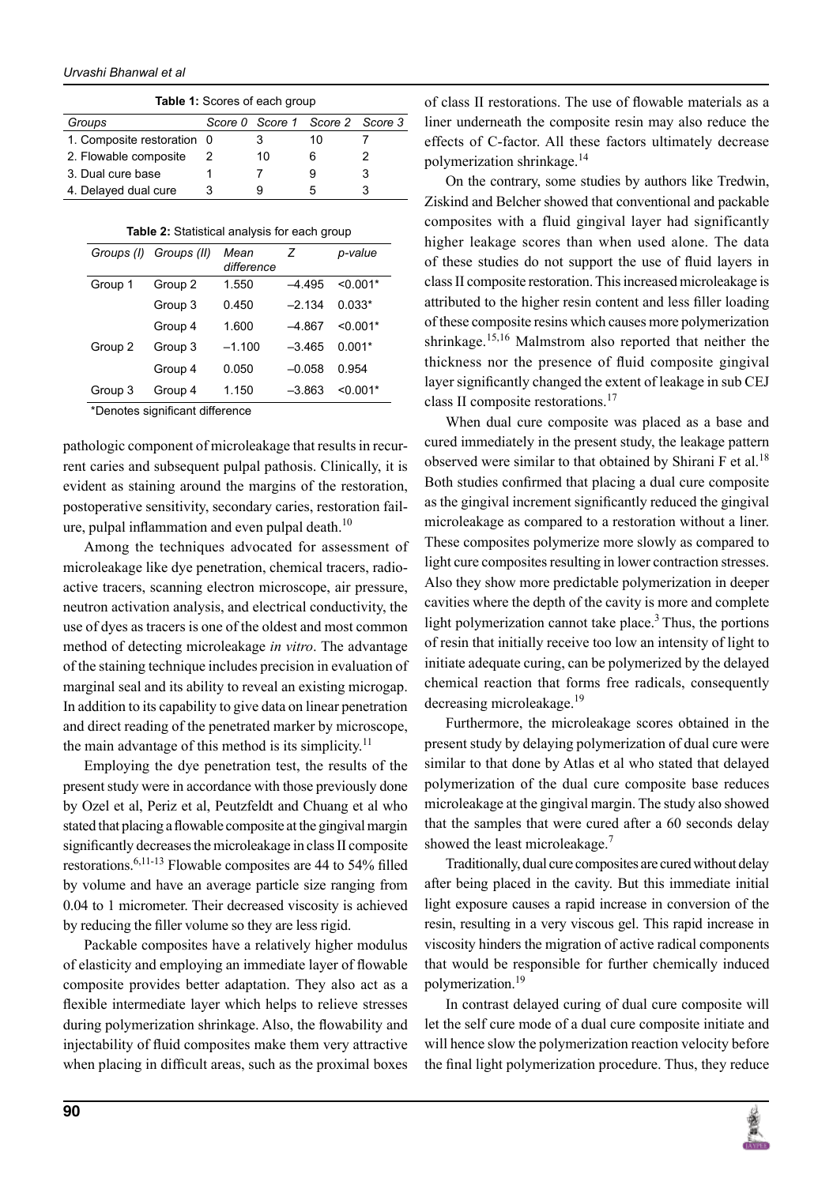| <b>Table 1:</b> Scores of each group |  |    |                                 |  |  |  |
|--------------------------------------|--|----|---------------------------------|--|--|--|
| Groups                               |  |    | Score 0 Score 1 Score 2 Score 3 |  |  |  |
| 1. Composite restoration 0           |  |    | 10                              |  |  |  |
| 2. Flowable composite                |  | 10 | 6                               |  |  |  |
| 3. Dual cure base                    |  |    |                                 |  |  |  |
| 4. Delayed dual cure                 |  | g  | 5                               |  |  |  |

| Table 2: Statistical analysis for each group |  |  |
|----------------------------------------------|--|--|
|----------------------------------------------|--|--|

|         | Groups (I) Groups (II) | Mean<br>difference | Z        | p-value    |
|---------|------------------------|--------------------|----------|------------|
| Group 1 | Group 2                | 1.550              | $-4.495$ | $< 0.001*$ |
|         | Group 3                | 0.450              | $-2.134$ | $0.033*$   |
|         | Group 4                | 1.600              | $-4.867$ | $< 0.001*$ |
| Group 2 | Group 3                | $-1.100$           | $-3.465$ | $0.001*$   |
|         | Group 4                | 0.050              | $-0.058$ | 0.954      |
| Group 3 | Group 4                | 1.150              | $-3.863$ | $< 0.001*$ |

\*Denotes significant difference

*Urvashi Bhanwal et al*

pathologic component of microleakage that results in recurrent caries and subsequent pulpal pathosis. Clinically, it is evident as staining around the margins of the restoration, postoperative sensitivity, secondary caries, restoration failure, pulpal inflammation and even pulpal death.<sup>10</sup>

Among the techniques advocated for assessment of microleakage like dye penetration, chemical tracers, radioactive tracers, scanning electron microscope, air pressure, neutron activation analysis, and electrical conductivity, the use of dyes as tracers is one of the oldest and most common method of detecting microleakage *in vitro*. The advantage of the staining technique includes precision in evaluation of marginal seal and its ability to reveal an existing microgap. In addition to its capability to give data on linear penetration and direct reading of the penetrated marker by microscope, the main advantage of this method is its simplicity.<sup>11</sup>

Employing the dye penetration test, the results of the present study were in accordance with those previously done by Ozel et al, Periz et al, Peutzfeldt and Chuang et al who stated that placing a flowable composite at the gingival margin significantly decreases the microleakage in class II composite restorations.6,11-13 Flowable composites are 44 to 54% filled by volume and have an average particle size ranging from 0.04 to 1 micrometer. Their decreased viscosity is achieved by reducing the filler volume so they are less rigid.

Packable composites have a relatively higher modulus of elasticity and employing an immediate layer of flowable composite provides better adaptation. They also act as a flexible intermediate layer which helps to relieve stresses during polymerization shrinkage. Also, the flowability and injectability of fluid composites make them very attractive when placing in difficult areas, such as the proximal boxes of class II restorations. The use of flowable materials as a liner underneath the composite resin may also reduce the effects of C-factor. All these factors ultimately decrease polymerization shrinkage.<sup>14</sup>

On the contrary, some studies by authors like Tredwin, Ziskind and Belcher showed that conventional and packable composites with a fluid gingival layer had significantly higher leakage scores than when used alone. The data of these studies do not support the use of fluid layers in class II composite restoration. This increased microleakage is attributed to the higher resin content and less filler loading of these composite resins which causes more polymerization shrinkage.<sup>15,16</sup> Malmstrom also reported that neither the thickness nor the presence of fluid composite gingival layer significantly changed the extent of leakage in sub CEJ class II composite restorations.<sup>17</sup>

When dual cure composite was placed as a base and cured immediately in the present study, the leakage pattern observed were similar to that obtained by Shirani F et al.<sup>18</sup> Both studies confirmed that placing a dual cure composite as the gingival increment significantly reduced the gingival microleakage as compared to a restoration without a liner. These composites polymerize more slowly as compared to light cure composites resulting in lower contraction stresses. Also they show more predictable polymerization in deeper cavities where the depth of the cavity is more and complete light polymerization cannot take place.<sup>3</sup> Thus, the portions of resin that initially receive too low an intensity of light to initiate adequate curing, can be polymerized by the delayed chemical reaction that forms free radicals, consequently decreasing microleakage.<sup>19</sup>

Furthermore, the microleakage scores obtained in the present study by delaying polymerization of dual cure were similar to that done by Atlas et al who stated that delayed polymerization of the dual cure composite base reduces microleakage at the gingival margin. The study also showed that the samples that were cured after a 60 seconds delay showed the least microleakage.<sup>7</sup>

Traditionally, dual cure composites are cured without delay after being placed in the cavity. But this immediate initial light exposure causes a rapid increase in conversion of the resin, resulting in a very viscous gel. This rapid increase in viscosity hinders the migration of active radical components that would be responsible for further chemically induced polymerization.19

In contrast delayed curing of dual cure composite will let the self cure mode of a dual cure composite initiate and will hence slow the polymerization reaction velocity before the final light polymerization procedure. Thus, they reduce